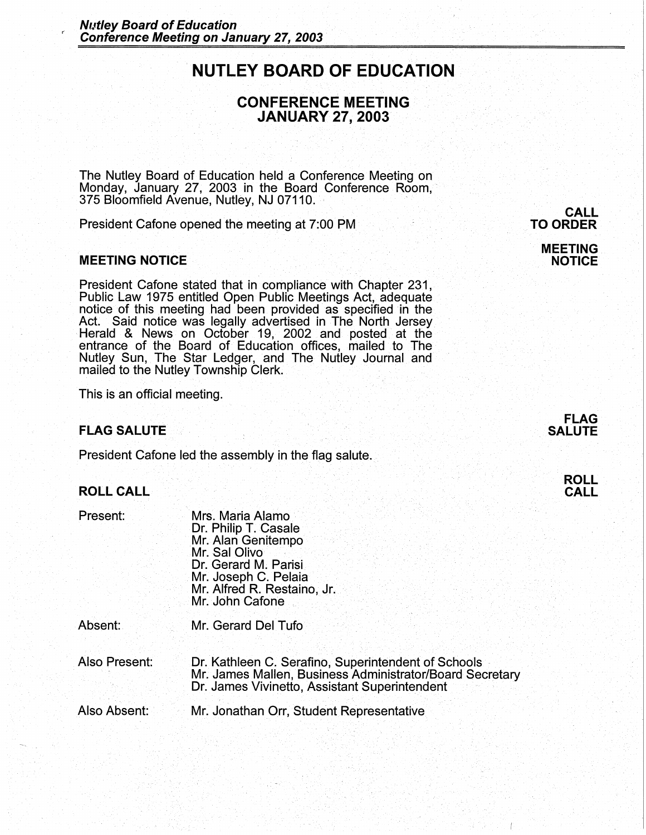# **NUTLEY BOARD OF EDUCATION**

## **CONFERENCE MEETING JANUARY 27, 2003**

The Nutley Board of Education held a Conference Meeting on Monday, January 27, 2003 in the Board Conference Room,· 375 Bloomfield Avenue, Nutley, NJ 07110. ·

President Cafone opened the meeting at 7:00 PM .

#### **MEETING NOTICE**

President Cafone stated that in compliance with Chapter 231, Public Law 1975 entitled Open Public Meetings Act, adequate notice of this meeting had been provided as specified in the Act. Said notice was legally advertised in The North Jersey Act. Said notice was legally advertised in The North Jersey<br>Herald & News on October 19, 2002 and posted at the entrance of the Board of Education offices, mailed to The Nutley Sun, The Star Ledger, and The Nutley Journal and mailed to the Nutley Township Clerk.

This is an official meeting.

## **FLAG SALUTE**

President Cafone led the assembly in the flag salute.

## **ROLL CALL**

| Present:      | Mrs. Maria Alamo<br>Dr. Philip T. Casale<br>Mr. Alan Genitempo<br>Mr. Sal Olivo<br>Dr. Gerard M. Parisi<br>Mr. Joseph C. Pelaia<br>Mr. Alfred R. Restaino, Jr.<br>Mr. John Cafone |
|---------------|-----------------------------------------------------------------------------------------------------------------------------------------------------------------------------------|
| Absent:       | Mr. Gerard Del Tufo                                                                                                                                                               |
| Also Present: | Dr. Kathleen C. Serafino, Superintendent of Schools<br>Mr. James Mallen, Business Administrator/Board Secretary<br>Dr. James Vivinetto, Assistant Superintendent                  |

Also Absent: Mr. Jonathan Orr, Student Representative

# **CALL TO ORDER**

#### **MEETING NOTICE**



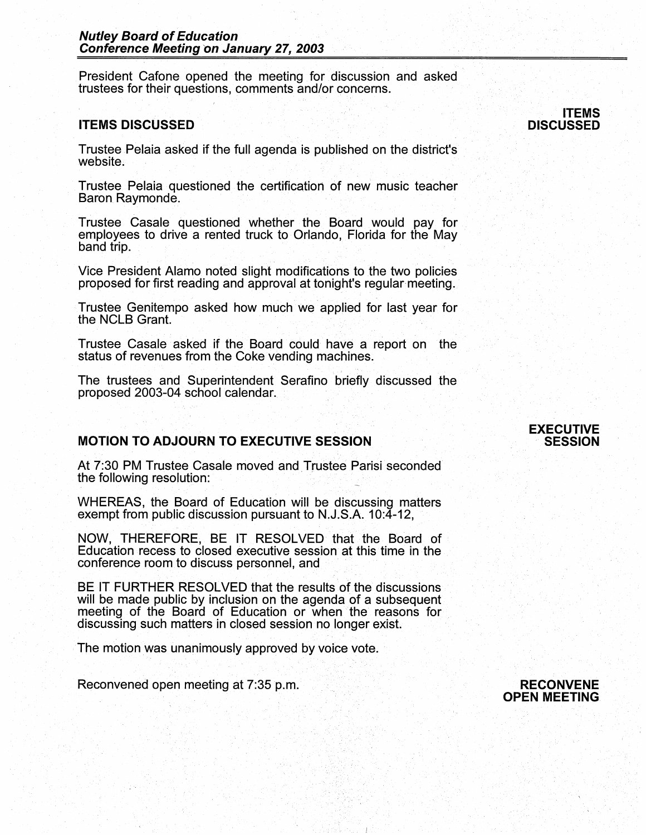#### **Nutley Board of Education Conference Meeting on January 27, 2003**

President Cafone opened the meeting for discussion and asked trustees for their questions, comments and/or concerns.

#### **ITEMS DISCUSSED**

Trustee Pelaia asked if the full agenda is published on the district's website.

Trustee Pelaia questioned the certification of new music teacher Baron Raymonde.

Trustee Casale questioned whether the Board would pay for employees to drive a rented truck to Orlando, Florida for the May band trip.

Vice President Alamo noted slight modifications to the two policies proposed for first reading and approval at tonight's regular-meeting.

Trustee Genitempo asked how much we· applied for last year for the NCLB Grant.

Trustee Casale asked if the Board could have a report on the status of revenues from the Coke vending machines.

The trustees and Superintendent Serafino briefly discussed the proposed 2003-04 school calendar. -

## **MOTION TO ADJOURN TO EXECUTIVE SESSION**

At 7:30 PM Trustee Casale moved and Trustee Parisi seconded the following resolution:

WHEREAS, the Board of Education will be discussing matters exempt from public discussion pursuant to N.J.S.A. 10:4-12,

NOW, THEREFORE, BE IT RESOLVED that the Board of Education recess to closed executive session at this time in the conference room to discuss personnel, and

BE IT FURTHER RESOLVED that the results of the discussions will be made public by inclusion on the agenda of a subsequent meeting of the Board of Education or when the reasons for discussing such matters in closed session no longer exist.

The motion was unanimously approved by voice vote.

Reconvened open meeting at 7:35 p.m.

#### **EXECUTIVE**  - **SESSION**



**ITEMS DISCUSSED**